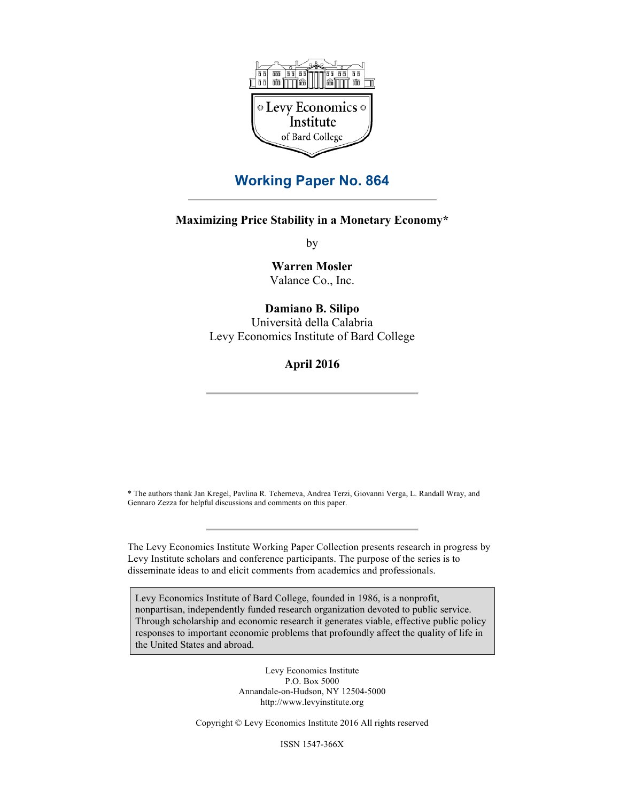

# **Working Paper No. 864**

# **Maximizing Price Stability in a Monetary Economy\***

by

**Warren Mosler** Valance Co., Inc.

# **Damiano B. Silipo**

Università della Calabria Levy Economics Institute of Bard College

**April 2016**

\* The authors thank Jan Kregel, Pavlina R. Tcherneva, Andrea Terzi, Giovanni Verga, L. Randall Wray, and Gennaro Zezza for helpful discussions and comments on this paper.

The Levy Economics Institute Working Paper Collection presents research in progress by Levy Institute scholars and conference participants. The purpose of the series is to disseminate ideas to and elicit comments from academics and professionals.

Levy Economics Institute of Bard College, founded in 1986, is a nonprofit, nonpartisan, independently funded research organization devoted to public service. Through scholarship and economic research it generates viable, effective public policy responses to important economic problems that profoundly affect the quality of life in the United States and abroad.

> Levy Economics Institute P.O. Box 5000 Annandale-on-Hudson, NY 12504-5000 http://www.levyinstitute.org

Copyright © Levy Economics Institute 2016 All rights reserved

ISSN 1547-366X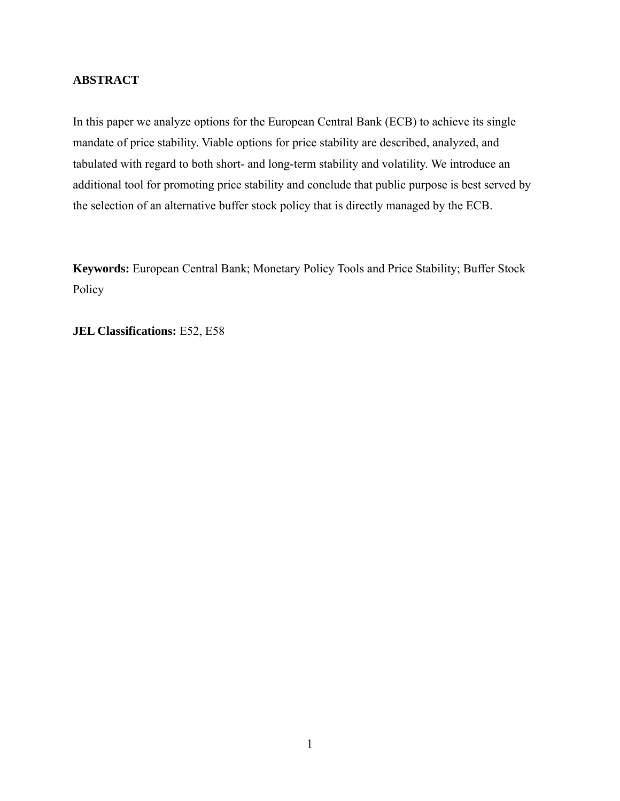# **ABSTRACT**

In this paper we analyze options for the European Central Bank (ECB) to achieve its single mandate of price stability. Viable options for price stability are described, analyzed, and tabulated with regard to both short- and long-term stability and volatility. We introduce an additional tool for promoting price stability and conclude that public purpose is best served by the selection of an alternative buffer stock policy that is directly managed by the ECB.

**Keywords:** European Central Bank; Monetary Policy Tools and Price Stability; Buffer Stock Policy

**JEL Classifications:** E52, E58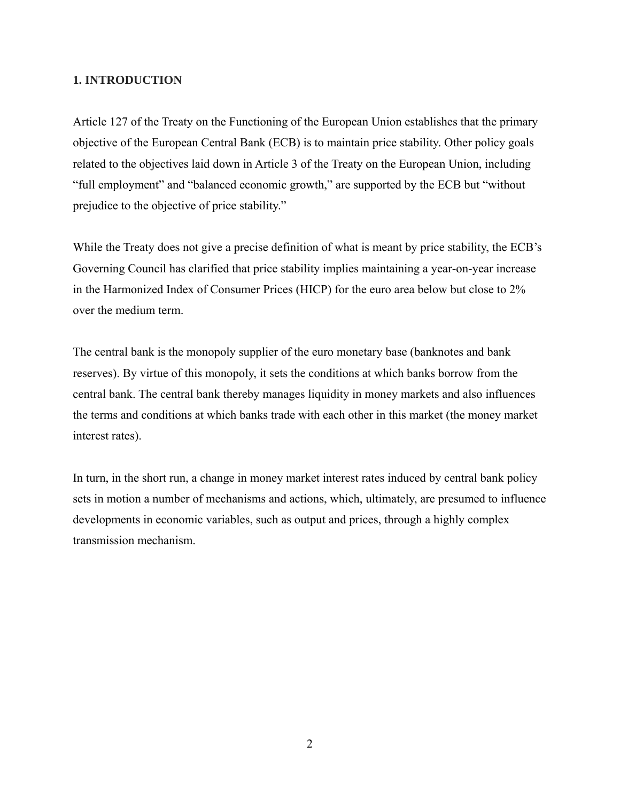# **1. INTRODUCTION**

Article 127 of the Treaty on the Functioning of the European Union establishes that the primary objective of the European Central Bank (ECB) is to maintain price stability. Other policy goals related to the objectives laid down in Article 3 of the Treaty on the European Union, including "full employment" and "balanced economic growth," are supported by the ECB but "without prejudice to the objective of price stability."

While the Treaty does not give a precise definition of what is meant by price stability, the ECB's Governing Council has clarified that price stability implies maintaining a year-on-year increase in the Harmonized Index of Consumer Prices (HICP) for the euro area below but close to 2% over the medium term.

The central bank is the monopoly supplier of the euro monetary base (banknotes and bank reserves). By virtue of this monopoly, it sets the conditions at which banks borrow from the central bank. The central bank thereby manages liquidity in money markets and also influences the terms and conditions at which banks trade with each other in this market (the money market interest rates).

In turn, in the short run, a change in money market interest rates induced by central bank policy sets in motion a number of mechanisms and actions, which, ultimately, are presumed to influence developments in economic variables, such as output and prices, through a highly complex transmission mechanism.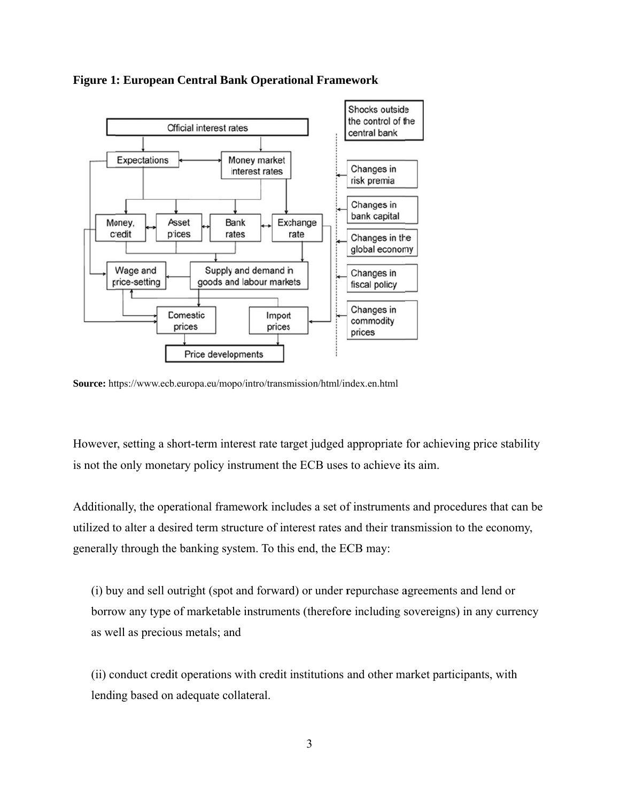

**Figure 1: European Central Bank Operational Framework** 

Source: https://www.ecb.europa.eu/mopo/intro/transmission/html/index.en.html

However, setting a short-term interest rate target judged appropriate for achieving price stability is not the only monetary policy instrument the ECB uses to achieve its aim.

Additionally, the operational framework includes a set of instruments and procedures that can be utilized to alter a desired term structure of interest rates and their transmission to the economy, generally through the banking system. To this end, the ECB may:

(i) buy and sell outright (spot and forward) or under repurchase agreements and lend or borrow any type of marketable instruments (therefore including sovereigns) in any currency as well as precious metals; and

(ii) conduct credit operations with credit institutions and other market participants, with lending based on adequate collateral.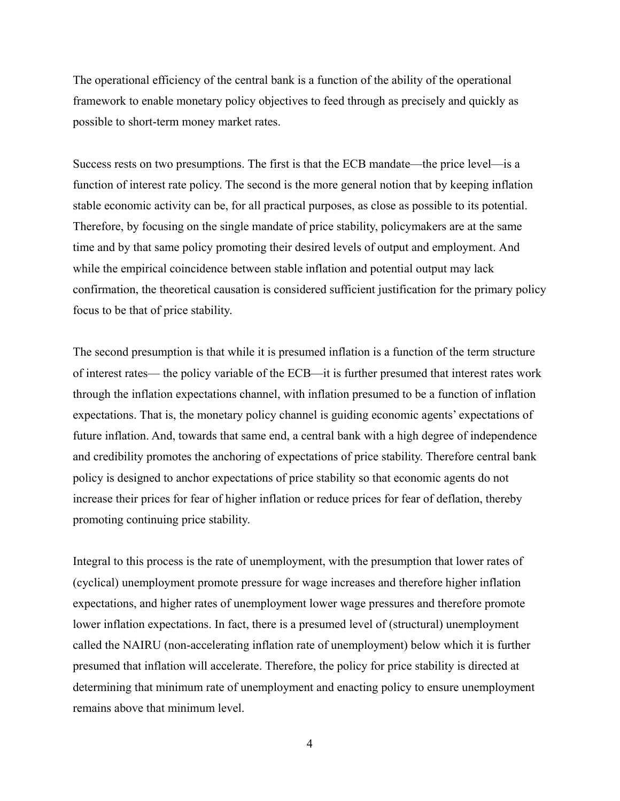The operational efficiency of the central bank is a function of the ability of the operational framework to enable monetary policy objectives to feed through as precisely and quickly as possible to short-term money market rates.

Success rests on two presumptions. The first is that the ECB mandate—the price level—is a function of interest rate policy. The second is the more general notion that by keeping inflation stable economic activity can be, for all practical purposes, as close as possible to its potential. Therefore, by focusing on the single mandate of price stability, policymakers are at the same time and by that same policy promoting their desired levels of output and employment. And while the empirical coincidence between stable inflation and potential output may lack confirmation, the theoretical causation is considered sufficient justification for the primary policy focus to be that of price stability.

The second presumption is that while it is presumed inflation is a function of the term structure of interest rates— the policy variable of the ECB—it is further presumed that interest rates work through the inflation expectations channel, with inflation presumed to be a function of inflation expectations. That is, the monetary policy channel is guiding economic agents' expectations of future inflation. And, towards that same end, a central bank with a high degree of independence and credibility promotes the anchoring of expectations of price stability. Therefore central bank policy is designed to anchor expectations of price stability so that economic agents do not increase their prices for fear of higher inflation or reduce prices for fear of deflation, thereby promoting continuing price stability.

Integral to this process is the rate of unemployment, with the presumption that lower rates of (cyclical) unemployment promote pressure for wage increases and therefore higher inflation expectations, and higher rates of unemployment lower wage pressures and therefore promote lower inflation expectations. In fact, there is a presumed level of (structural) unemployment called the NAIRU (non-accelerating inflation rate of unemployment) below which it is further presumed that inflation will accelerate. Therefore, the policy for price stability is directed at determining that minimum rate of unemployment and enacting policy to ensure unemployment remains above that minimum level.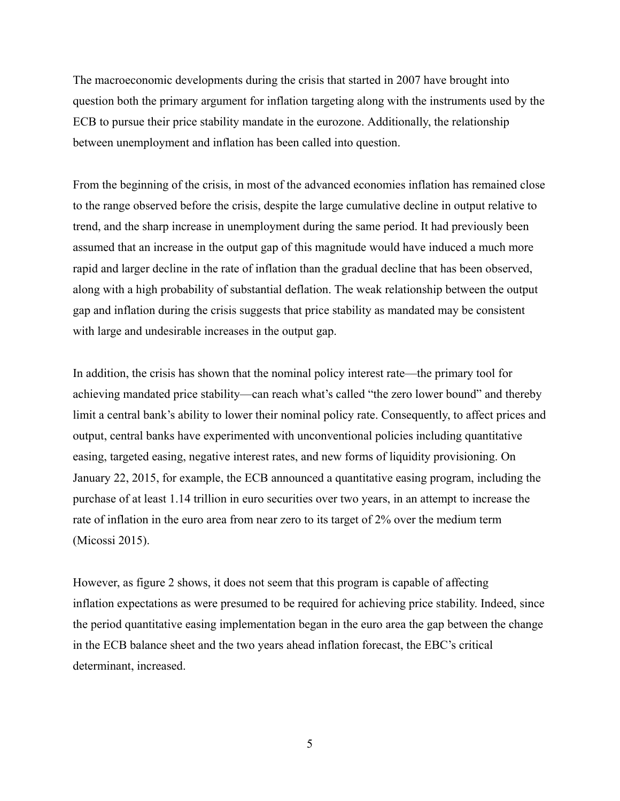The macroeconomic developments during the crisis that started in 2007 have brought into question both the primary argument for inflation targeting along with the instruments used by the ECB to pursue their price stability mandate in the eurozone. Additionally, the relationship between unemployment and inflation has been called into question.

From the beginning of the crisis, in most of the advanced economies inflation has remained close to the range observed before the crisis, despite the large cumulative decline in output relative to trend, and the sharp increase in unemployment during the same period. It had previously been assumed that an increase in the output gap of this magnitude would have induced a much more rapid and larger decline in the rate of inflation than the gradual decline that has been observed, along with a high probability of substantial deflation. The weak relationship between the output gap and inflation during the crisis suggests that price stability as mandated may be consistent with large and undesirable increases in the output gap.

In addition, the crisis has shown that the nominal policy interest rate—the primary tool for achieving mandated price stability—can reach what's called "the zero lower bound" and thereby limit a central bank's ability to lower their nominal policy rate. Consequently, to affect prices and output, central banks have experimented with unconventional policies including quantitative easing, targeted easing, negative interest rates, and new forms of liquidity provisioning. On January 22, 2015, for example, the ECB announced a quantitative easing program, including the purchase of at least 1.14 trillion in euro securities over two years, in an attempt to increase the rate of inflation in the euro area from near zero to its target of 2% over the medium term (Micossi 2015).

However, as figure 2 shows, it does not seem that this program is capable of affecting inflation expectations as were presumed to be required for achieving price stability. Indeed, since the period quantitative easing implementation began in the euro area the gap between the change in the ECB balance sheet and the two years ahead inflation forecast, the EBC's critical determinant, increased.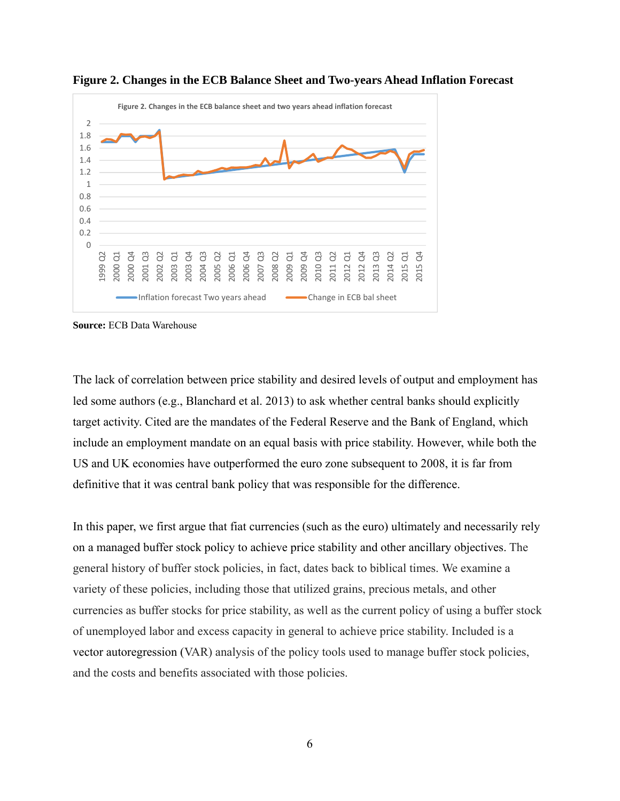



**Source:** ECB Data Warehouse

The lack of correlation between price stability and desired levels of output and employment has led some authors (e.g., Blanchard et al. 2013) to ask whether central banks should explicitly target activity. Cited are the mandates of the Federal Reserve and the Bank of England, which include an employment mandate on an equal basis with price stability. However, while both the US and UK economies have outperformed the euro zone subsequent to 2008, it is far from definitive that it was central bank policy that was responsible for the difference.

In this paper, we first argue that fiat currencies (such as the euro) ultimately and necessarily rely on a managed buffer stock policy to achieve price stability and other ancillary objectives. The general history of buffer stock policies, in fact, dates back to biblical times. We examine a variety of these policies, including those that utilized grains, precious metals, and other currencies as buffer stocks for price stability, as well as the current policy of using a buffer stock of unemployed labor and excess capacity in general to achieve price stability. Included is a vector autoregression (VAR) analysis of the policy tools used to manage buffer stock policies, and the costs and benefits associated with those policies.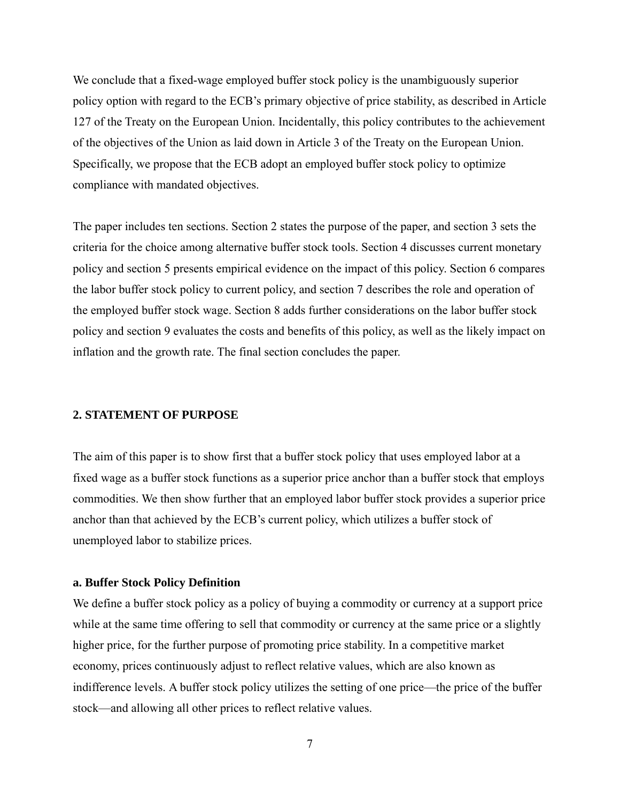We conclude that a fixed-wage employed buffer stock policy is the unambiguously superior policy option with regard to the ECB's primary objective of price stability, as described in Article 127 of the Treaty on the European Union. Incidentally, this policy contributes to the achievement of the objectives of the Union as laid down in Article 3 of the Treaty on the European Union. Specifically, we propose that the ECB adopt an employed buffer stock policy to optimize compliance with mandated objectives.

The paper includes ten sections. Section 2 states the purpose of the paper, and section 3 sets the criteria for the choice among alternative buffer stock tools. Section 4 discusses current monetary policy and section 5 presents empirical evidence on the impact of this policy. Section 6 compares the labor buffer stock policy to current policy, and section 7 describes the role and operation of the employed buffer stock wage. Section 8 adds further considerations on the labor buffer stock policy and section 9 evaluates the costs and benefits of this policy, as well as the likely impact on inflation and the growth rate. The final section concludes the paper.

#### **2. STATEMENT OF PURPOSE**

The aim of this paper is to show first that a buffer stock policy that uses employed labor at a fixed wage as a buffer stock functions as a superior price anchor than a buffer stock that employs commodities. We then show further that an employed labor buffer stock provides a superior price anchor than that achieved by the ECB's current policy, which utilizes a buffer stock of unemployed labor to stabilize prices.

#### **a. Buffer Stock Policy Definition**

We define a buffer stock policy as a policy of buying a commodity or currency at a support price while at the same time offering to sell that commodity or currency at the same price or a slightly higher price, for the further purpose of promoting price stability. In a competitive market economy, prices continuously adjust to reflect relative values, which are also known as indifference levels. A buffer stock policy utilizes the setting of one price—the price of the buffer stock—and allowing all other prices to reflect relative values.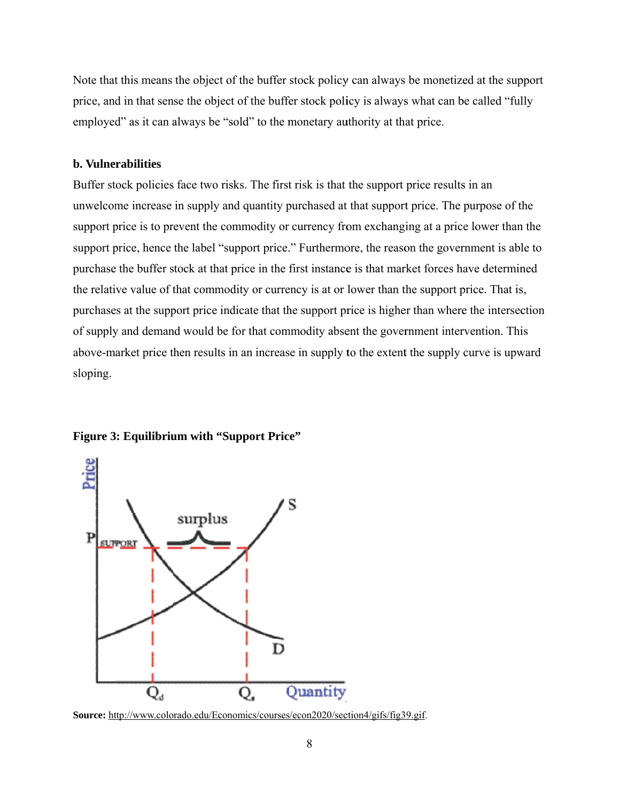Note that this means the object of the buffer stock policy can always be monetized at the support price, and in that sense the object of the buffer stock policy is always what can be called "fully employed" as it can always be "sold" to the monetary authority at that price.

#### **b. Vulne rabilities**

Buffer stock policies face two risks. The first risk is that the support price results in an unwelcome increase in supply and quantity purchased at that support price. The purpose of the support price is to prevent the commodity or currency from exchanging at a price lower than the support price, hence the label "support price." Furthermore, the reason the government is able to purchase the buffer stock at that price in the first instance is that market forces have determined the relative value of that commodity or currency is at or lower than the support price. That is, purchases at the support price indicate that the support price is higher than where the intersection of supply and demand would be for that commodity absent the government intervention. This above-market price then results in an increase in supply to the extent the supply curve is upward sloping.





Source: http://www.colorado.edu/Economics/courses/econ2020/section4/gifs/fig39.gif.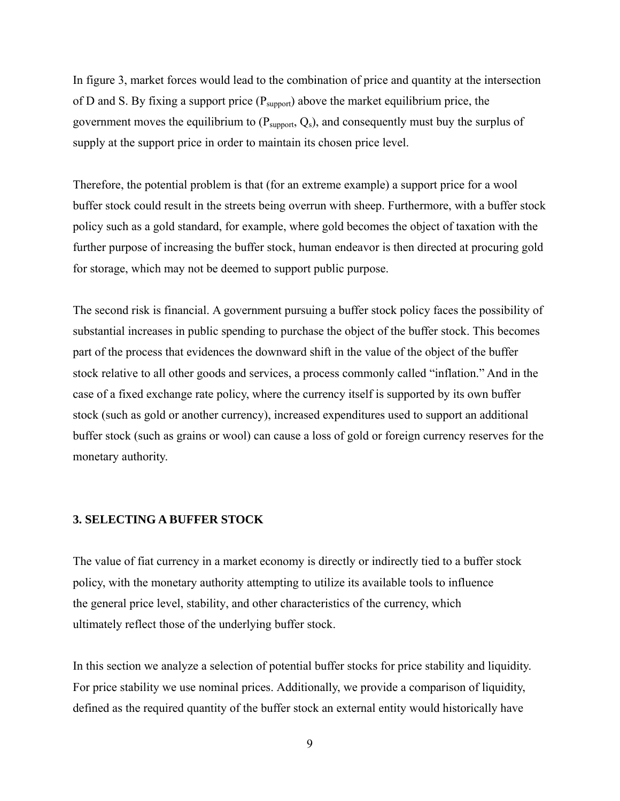In figure 3, market forces would lead to the combination of price and quantity at the intersection of D and S. By fixing a support price  $(P_{\text{support}})$  above the market equilibrium price, the government moves the equilibrium to  $(P_{\text{support}}, Q_s)$ , and consequently must buy the surplus of supply at the support price in order to maintain its chosen price level.

Therefore, the potential problem is that (for an extreme example) a support price for a wool buffer stock could result in the streets being overrun with sheep. Furthermore, with a buffer stock policy such as a gold standard, for example, where gold becomes the object of taxation with the further purpose of increasing the buffer stock, human endeavor is then directed at procuring gold for storage, which may not be deemed to support public purpose.

The second risk is financial. A government pursuing a buffer stock policy faces the possibility of substantial increases in public spending to purchase the object of the buffer stock. This becomes part of the process that evidences the downward shift in the value of the object of the buffer stock relative to all other goods and services, a process commonly called "inflation." And in the case of a fixed exchange rate policy, where the currency itself is supported by its own buffer stock (such as gold or another currency), increased expenditures used to support an additional buffer stock (such as grains or wool) can cause a loss of gold or foreign currency reserves for the monetary authority.

## **3. SELECTING A BUFFER STOCK**

The value of fiat currency in a market economy is directly or indirectly tied to a buffer stock policy, with the monetary authority attempting to utilize its available tools to influence the general price level, stability, and other characteristics of the currency, which ultimately reflect those of the underlying buffer stock.

In this section we analyze a selection of potential buffer stocks for price stability and liquidity. For price stability we use nominal prices. Additionally, we provide a comparison of liquidity, defined as the required quantity of the buffer stock an external entity would historically have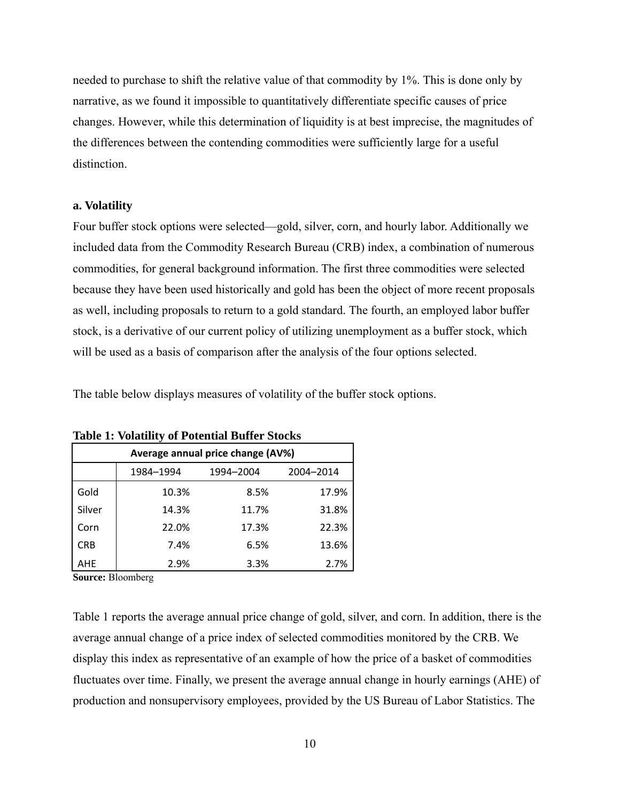needed to purchase to shift the relative value of that commodity by 1%. This is done only by narrative, as we found it impossible to quantitatively differentiate specific causes of price changes. However, while this determination of liquidity is at best imprecise, the magnitudes of the differences between the contending commodities were sufficiently large for a useful distinction.

# **a. Volatility**

Four buffer stock options were selected—gold, silver, corn, and hourly labor. Additionally we included data from the Commodity Research Bureau (CRB) index, a combination of numerous commodities, for general background information. The first three commodities were selected because they have been used historically and gold has been the object of more recent proposals as well, including proposals to return to a gold standard. The fourth, an employed labor buffer stock, is a derivative of our current policy of utilizing unemployment as a buffer stock, which will be used as a basis of comparison after the analysis of the four options selected.

The table below displays measures of volatility of the buffer stock options.

| Average annual price change (AV%) |           |           |           |  |  |
|-----------------------------------|-----------|-----------|-----------|--|--|
|                                   | 1984-1994 | 1994-2004 | 2004-2014 |  |  |
| Gold                              | 10.3%     | 8.5%      | 17.9%     |  |  |
| Silver                            | 14.3%     | 11.7%     | 31.8%     |  |  |
| Corn                              | 22.0%     | 17.3%     | 22.3%     |  |  |
| <b>CRB</b>                        | 7.4%      | 6.5%      | 13.6%     |  |  |
| AHE                               | 2.9%      | 3.3%      | 2.7%      |  |  |

**Table 1: Volatility of Potential Buffer Stocks** 

**Source:** Bloomberg

Table 1 reports the average annual price change of gold, silver, and corn. In addition, there is the average annual change of a price index of selected commodities monitored by the CRB. We display this index as representative of an example of how the price of a basket of commodities fluctuates over time. Finally, we present the average annual change in hourly earnings (AHE) of production and nonsupervisory employees, provided by the US Bureau of Labor Statistics. The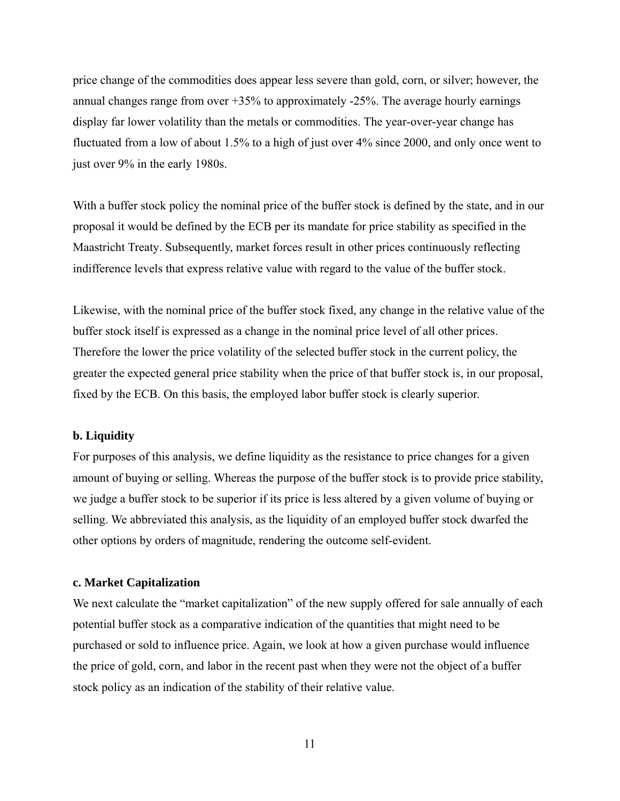price change of the commodities does appear less severe than gold, corn, or silver; however, the annual changes range from over  $+35%$  to approximately  $-25%$ . The average hourly earnings display far lower volatility than the metals or commodities. The year-over-year change has fluctuated from a low of about 1.5% to a high of just over 4% since 2000, and only once went to just over 9% in the early 1980s.

With a buffer stock policy the nominal price of the buffer stock is defined by the state, and in our proposal it would be defined by the ECB per its mandate for price stability as specified in the Maastricht Treaty. Subsequently, market forces result in other prices continuously reflecting indifference levels that express relative value with regard to the value of the buffer stock.

Likewise, with the nominal price of the buffer stock fixed, any change in the relative value of the buffer stock itself is expressed as a change in the nominal price level of all other prices. Therefore the lower the price volatility of the selected buffer stock in the current policy, the greater the expected general price stability when the price of that buffer stock is, in our proposal, fixed by the ECB. On this basis, the employed labor buffer stock is clearly superior.

# **b. Liquidity**

For purposes of this analysis, we define liquidity as the resistance to price changes for a given amount of buying or selling. Whereas the purpose of the buffer stock is to provide price stability, we judge a buffer stock to be superior if its price is less altered by a given volume of buying or selling. We abbreviated this analysis, as the liquidity of an employed buffer stock dwarfed the other options by orders of magnitude, rendering the outcome self-evident.

#### **c. Market Capitalization**

We next calculate the "market capitalization" of the new supply offered for sale annually of each potential buffer stock as a comparative indication of the quantities that might need to be purchased or sold to influence price. Again, we look at how a given purchase would influence the price of gold, corn, and labor in the recent past when they were not the object of a buffer stock policy as an indication of the stability of their relative value.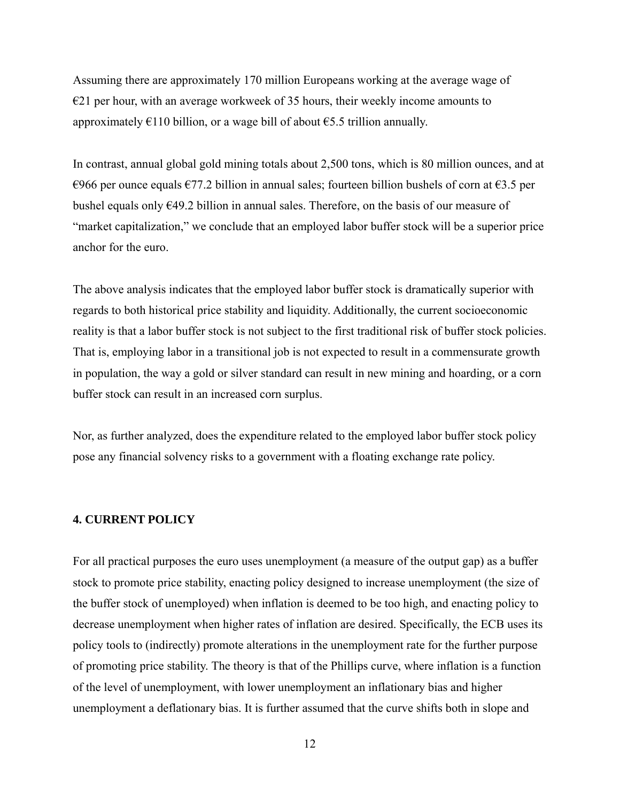Assuming there are approximately 170 million Europeans working at the average wage of  $E$ 21 per hour, with an average workweek of 35 hours, their weekly income amounts to approximately  $E110$  billion, or a wage bill of about  $E5.5$  trillion annually.

In contrast, annual global gold mining totals about 2,500 tons, which is 80 million ounces, and at €966 per ounce equals €77.2 billion in annual sales; fourteen billion bushels of corn at €3.5 per bushel equals only €49.2 billion in annual sales. Therefore, on the basis of our measure of "market capitalization," we conclude that an employed labor buffer stock will be a superior price anchor for the euro.

The above analysis indicates that the employed labor buffer stock is dramatically superior with regards to both historical price stability and liquidity. Additionally, the current socioeconomic reality is that a labor buffer stock is not subject to the first traditional risk of buffer stock policies. That is, employing labor in a transitional job is not expected to result in a commensurate growth in population, the way a gold or silver standard can result in new mining and hoarding, or a corn buffer stock can result in an increased corn surplus.

Nor, as further analyzed, does the expenditure related to the employed labor buffer stock policy pose any financial solvency risks to a government with a floating exchange rate policy.

# **4. CURRENT POLICY**

For all practical purposes the euro uses unemployment (a measure of the output gap) as a buffer stock to promote price stability, enacting policy designed to increase unemployment (the size of the buffer stock of unemployed) when inflation is deemed to be too high, and enacting policy to decrease unemployment when higher rates of inflation are desired. Specifically, the ECB uses its policy tools to (indirectly) promote alterations in the unemployment rate for the further purpose of promoting price stability. The theory is that of the Phillips curve, where inflation is a function of the level of unemployment, with lower unemployment an inflationary bias and higher unemployment a deflationary bias. It is further assumed that the curve shifts both in slope and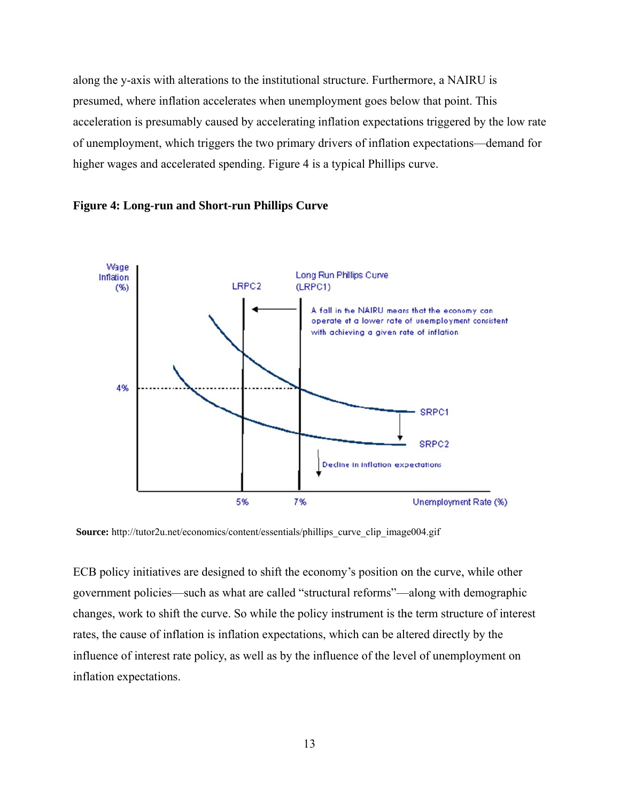along the y-axis with alterations to the institutional structure. Furthermore, a NAIRU is presumed, where inflation accelerates when unemployment goes below that point. This acceleration is presumably caused by accelerating inflation expectations triggered by the low rate of unemployment, which triggers the two primary drivers of inflation expectations—demand for higher wages and accelerated spending. Figure 4 is a typical Phillips curve.





Source: http://tutor2u.net/economics/content/essentials/phillips\_curve\_clip\_image004.gif

ECB policy initiatives are designed to shift the economy's position on the curve, while other ECB policy initiatives are designed to shift the economy's position on the curve, while other<br>government policies—such as what are called "structural reforms"—along with demographic changes, work to shift the curve. So while the policy instrument is the term structure of interest rates, the cause of inflation is inflation expectations, which can be altered directly by the influence of interest rate policy, as well as by the influence of the level of unemployment on inflation expectation s.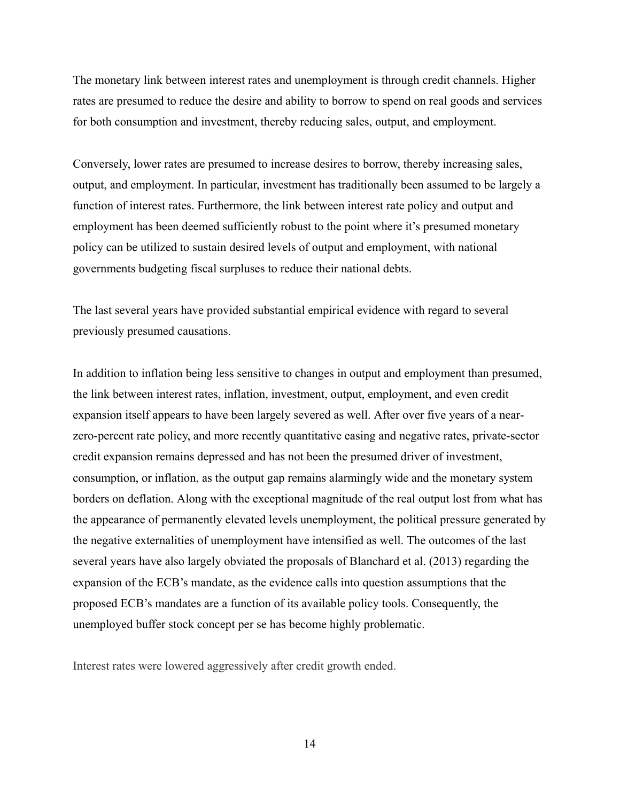The monetary link between interest rates and unemployment is through credit channels. Higher rates are presumed to reduce the desire and ability to borrow to spend on real goods and services for both consumption and investment, thereby reducing sales, output, and employment.

Conversely, lower rates are presumed to increase desires to borrow, thereby increasing sales, output, and employment. In particular, investment has traditionally been assumed to be largely a function of interest rates. Furthermore, the link between interest rate policy and output and employment has been deemed sufficiently robust to the point where it's presumed monetary policy can be utilized to sustain desired levels of output and employment, with national governments budgeting fiscal surpluses to reduce their national debts.

The last several years have provided substantial empirical evidence with regard to several previously presumed causations.

In addition to inflation being less sensitive to changes in output and employment than presumed, the link between interest rates, inflation, investment, output, employment, and even credit expansion itself appears to have been largely severed as well. After over five years of a nearzero-percent rate policy, and more recently quantitative easing and negative rates, private-sector credit expansion remains depressed and has not been the presumed driver of investment, consumption, or inflation, as the output gap remains alarmingly wide and the monetary system borders on deflation. Along with the exceptional magnitude of the real output lost from what has the appearance of permanently elevated levels unemployment, the political pressure generated by the negative externalities of unemployment have intensified as well. The outcomes of the last several years have also largely obviated the proposals of Blanchard et al. (2013) regarding the expansion of the ECB's mandate, as the evidence calls into question assumptions that the proposed ECB's mandates are a function of its available policy tools. Consequently, the unemployed buffer stock concept per se has become highly problematic.

Interest rates were lowered aggressively after credit growth ended.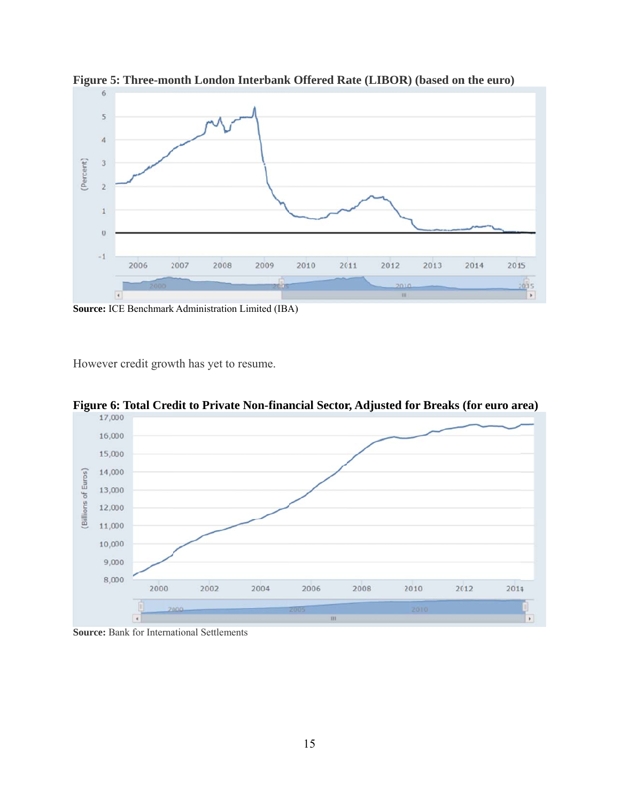

**Figure 5: Three-month London Interbank Offered Rate (LIBOR) (based on the euro)** 

Source: ICE Benchmark Administration Limited (IBA)

However credit growth has yet to resume.



**Figure 6: Total Credit to Private Non-financial Sector, Adjusted for Breaks (for euro area)** 

Source: Bank for International Settlements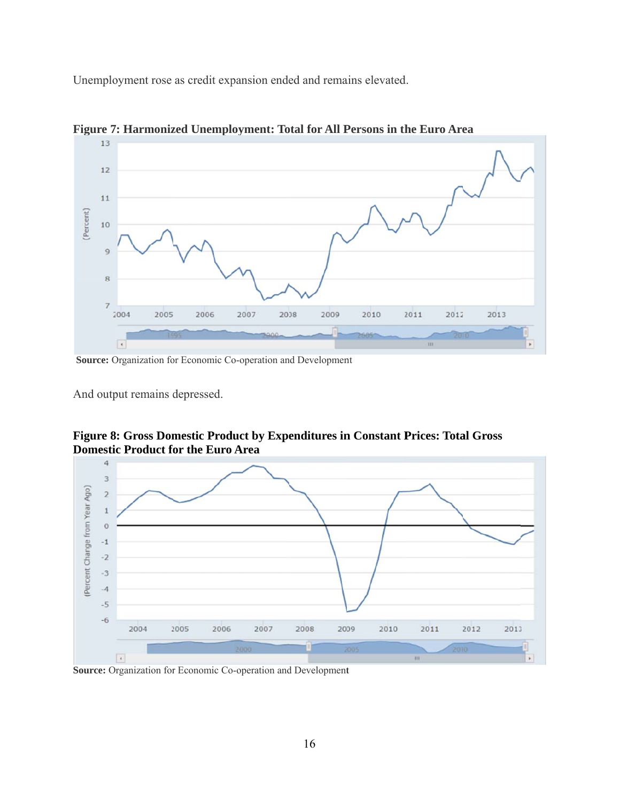Unemployment rose as credit expansion ended and remains elevated



**Figure 7: Harmonized Unemployment: Total for All Persons in the Euro Area** 

Source: Organization for Economic Co-operation and Development

And output remains depressed.

**Figure 8: Gross Domestic Product by Expenditures in Constant Prices: Total Gross Domestic Product for the Euro Area** 



Source: Organization for Economic Co-operation and Development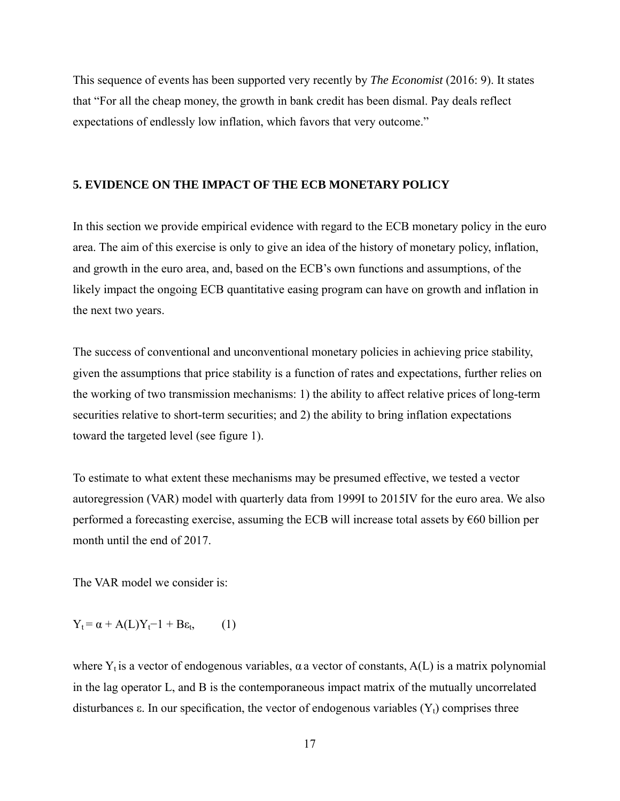This sequence of events has been supported very recently by *The Economist* (2016: 9). It states that "For all the cheap money, the growth in bank credit has been dismal. Pay deals reflect expectations of endlessly low inflation, which favors that very outcome."

### **5. EVIDENCE ON THE IMPACT OF THE ECB MONETARY POLICY**

In this section we provide empirical evidence with regard to the ECB monetary policy in the euro area. The aim of this exercise is only to give an idea of the history of monetary policy, inflation, and growth in the euro area, and, based on the ECB's own functions and assumptions, of the likely impact the ongoing ECB quantitative easing program can have on growth and inflation in the next two years.

The success of conventional and unconventional monetary policies in achieving price stability, given the assumptions that price stability is a function of rates and expectations, further relies on the working of two transmission mechanisms: 1) the ability to affect relative prices of long-term securities relative to short-term securities; and 2) the ability to bring inflation expectations toward the targeted level (see figure 1).

To estimate to what extent these mechanisms may be presumed effective, we tested a vector autoregression (VAR) model with quarterly data from 1999I to 2015IV for the euro area. We also performed a forecasting exercise, assuming the ECB will increase total assets by €60 billion per month until the end of 2017.

The VAR model we consider is:

$$
Y_t = \alpha + A(L)Y_t - 1 + B\varepsilon_t, \qquad (1)
$$

where  $Y_t$  is a vector of endogenous variables,  $\alpha$  a vector of constants,  $A(L)$  is a matrix polynomial in the lag operator L, and B is the contemporaneous impact matrix of the mutually uncorrelated disturbances  $\varepsilon$ . In our specification, the vector of endogenous variables  $(Y_t)$  comprises three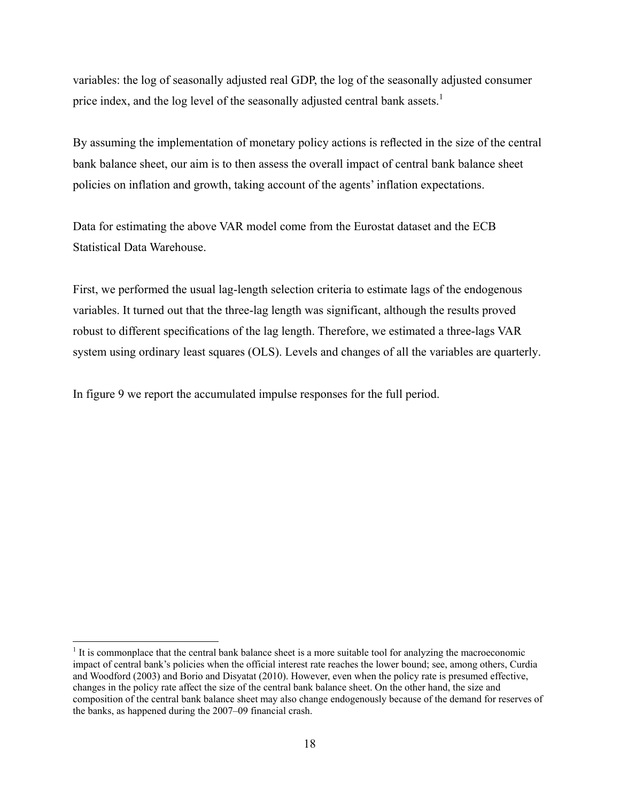variables: the log of seasonally adjusted real GDP, the log of the seasonally adjusted consumer price index, and the log level of the seasonally adjusted central bank assets.<sup>1</sup>

By assuming the implementation of monetary policy actions is reflected in the size of the central bank balance sheet, our aim is to then assess the overall impact of central bank balance sheet policies on inflation and growth, taking account of the agents' inflation expectations.

Data for estimating the above VAR model come from the Eurostat dataset and the ECB Statistical Data Warehouse.

First, we performed the usual lag-length selection criteria to estimate lags of the endogenous variables. It turned out that the three-lag length was significant, although the results proved robust to different specifications of the lag length. Therefore, we estimated a three-lags VAR system using ordinary least squares (OLS). Levels and changes of all the variables are quarterly.

In figure 9 we report the accumulated impulse responses for the full period.

 $<sup>1</sup>$  It is commonplace that the central bank balance sheet is a more suitable tool for analyzing the macroeconomic</sup> impact of central bank's policies when the official interest rate reaches the lower bound; see, among others, Curdia and Woodford (2003) and Borio and Disyatat (2010). However, even when the policy rate is presumed effective, changes in the policy rate affect the size of the central bank balance sheet. On the other hand, the size and composition of the central bank balance sheet may also change endogenously because of the demand for reserves of the banks, as happened during the 2007–09 financial crash.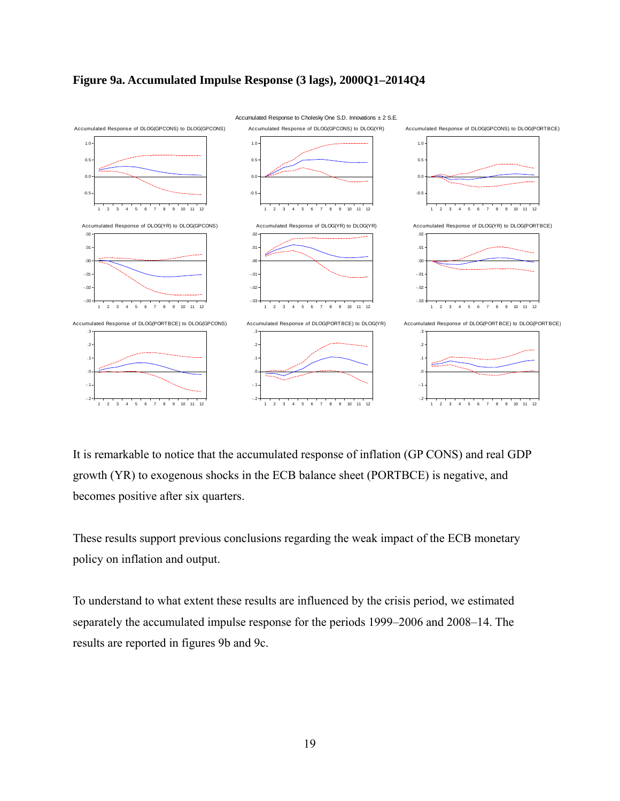



It is remarkable to notice that the accumulated response of inflation (GP CONS) and real GDP growth (YR) to exogenous shocks in the ECB balance sheet (PORTBCE) is negative, and becomes positive after six quarters.

These results support previous conclusions regarding the weak impact of the ECB monetary policy on inflation and output.

To understand to what extent these results are influenced by the crisis period, we estimated separately the accumulated impulse response for the periods 1999–2006 and 2008–14. The results are reported in figures 9b and 9c.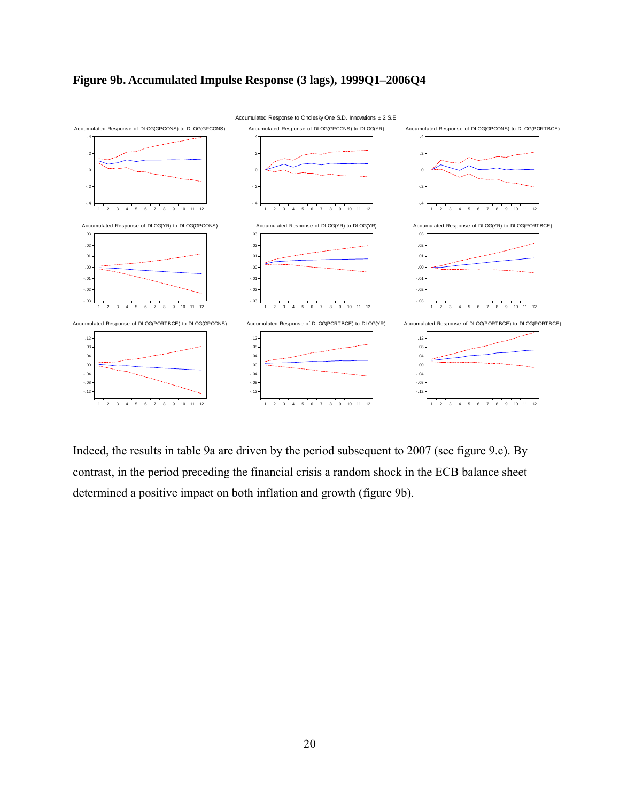



Indeed, the results in table 9a are driven by the period subsequent to 2007 (see figure 9.c). By contrast, in the period preceding the financial crisis a random shock in the ECB balance sheet determined a positive impact on both inflation and growth (figure 9b).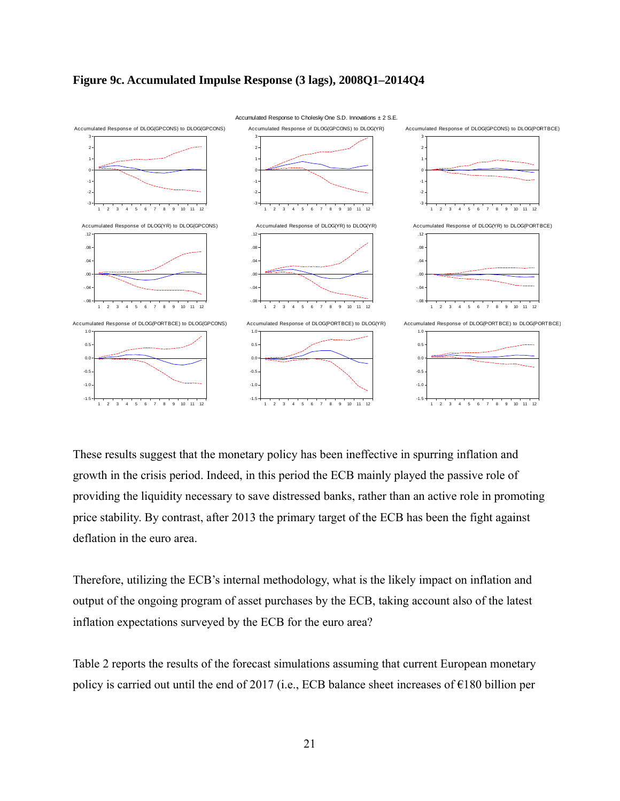



These results suggest that the monetary policy has been ineffective in spurring inflation and growth in the crisis period. Indeed, in this period the ECB mainly played the passive role of providing the liquidity necessary to save distressed banks, rather than an active role in promoting price stability. By contrast, after 2013 the primary target of the ECB has been the fight against deflation in the euro area.

Therefore, utilizing the ECB's internal methodology, what is the likely impact on inflation and output of the ongoing program of asset purchases by the ECB, taking account also of the latest inflation expectations surveyed by the ECB for the euro area?

Table 2 reports the results of the forecast simulations assuming that current European monetary policy is carried out until the end of 2017 (i.e., ECB balance sheet increases of €180 billion per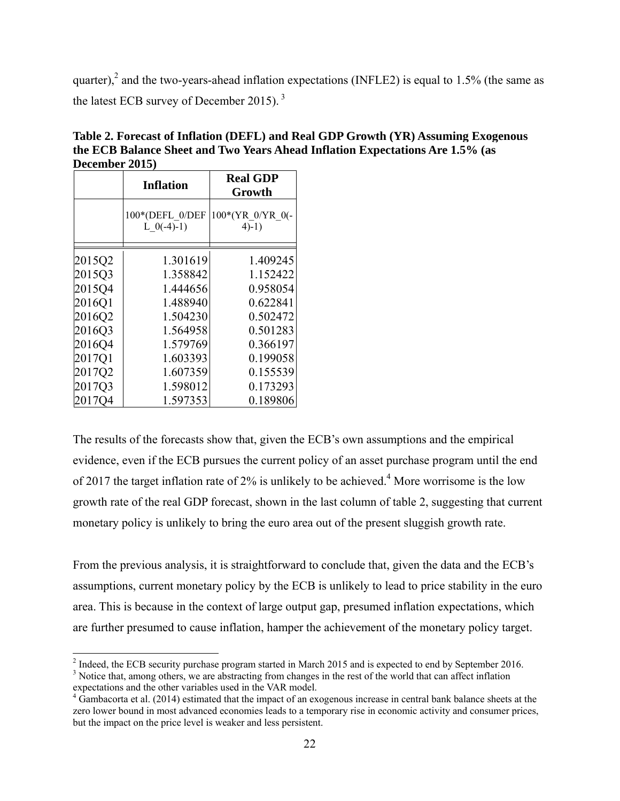quarter),<sup>2</sup> and the two-years-ahead inflation expectations (INFLE2) is equal to 1.5% (the same as the latest ECB survey of December 2015).<sup>3</sup>

|        | <b>Inflation</b>                | <b>Real GDP</b><br>Growth     |
|--------|---------------------------------|-------------------------------|
|        | 100*(DEFL 0/DEF<br>L $0(-4)-1)$ | 100*(YR 0/YR 0(-<br>$4) - 1)$ |
| 2015Q2 | 1.301619                        | 1.409245                      |
| 2015Q3 | 1.358842                        | 1.152422                      |
| 2015Q4 | 1.444656                        | 0.958054                      |
| 2016Q1 | 1.488940                        | 0.622841                      |
| 2016Q2 | 1.504230                        | 0.502472                      |
| 2016Q3 | 1.564958                        | 0.501283                      |
| 2016Q4 | 1.579769                        | 0.366197                      |
| 2017Q1 | 1.603393                        | 0.199058                      |
| 2017Q2 | 1.607359                        | 0.155539                      |
| 2017Q3 | 1.598012                        | 0.173293                      |
| 2017Q4 | 1.597353                        | 0.189806                      |

**Table 2. Forecast of Inflation (DEFL) and Real GDP Growth (YR) Assuming Exogenous the ECB Balance Sheet and Two Years Ahead Inflation Expectations Are 1.5% (as December 2015)** 

The results of the forecasts show that, given the ECB's own assumptions and the empirical evidence, even if the ECB pursues the current policy of an asset purchase program until the end of 2017 the target inflation rate of  $2\%$  is unlikely to be achieved.<sup>4</sup> More worrisome is the low growth rate of the real GDP forecast, shown in the last column of table 2, suggesting that current monetary policy is unlikely to bring the euro area out of the present sluggish growth rate.

From the previous analysis, it is straightforward to conclude that, given the data and the ECB's assumptions, current monetary policy by the ECB is unlikely to lead to price stability in the euro area. This is because in the context of large output gap, presumed inflation expectations, which are further presumed to cause inflation, hamper the achievement of the monetary policy target.

<sup>&</sup>lt;sup>2</sup> Indeed, the ECB security purchase program started in March 2015 and is expected to end by September 2016.

<sup>&</sup>lt;sup>3</sup> Notice that, among others, we are abstracting from changes in the rest of the world that can affect inflation expectations and the other variables used in the VAR model.

 $4$  Gambacorta et al. (2014) estimated that the impact of an exogenous increase in central bank balance sheets at the zero lower bound in most advanced economies leads to a temporary rise in economic activity and consumer prices, but the impact on the price level is weaker and less persistent.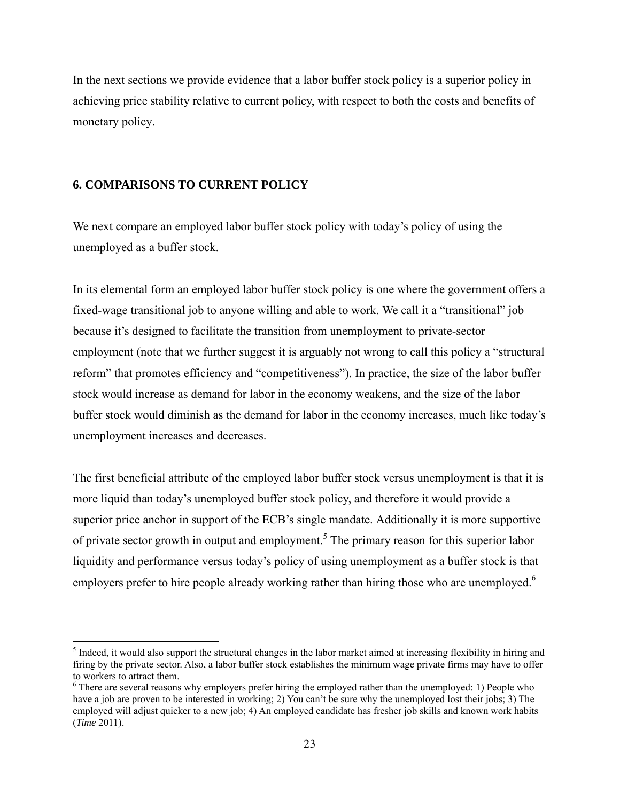In the next sections we provide evidence that a labor buffer stock policy is a superior policy in achieving price stability relative to current policy, with respect to both the costs and benefits of monetary policy.

# **6. COMPARISONS TO CURRENT POLICY**

We next compare an employed labor buffer stock policy with today's policy of using the unemployed as a buffer stock.

In its elemental form an employed labor buffer stock policy is one where the government offers a fixed-wage transitional job to anyone willing and able to work. We call it a "transitional" job because it's designed to facilitate the transition from unemployment to private-sector employment (note that we further suggest it is arguably not wrong to call this policy a "structural reform" that promotes efficiency and "competitiveness"). In practice, the size of the labor buffer stock would increase as demand for labor in the economy weakens, and the size of the labor buffer stock would diminish as the demand for labor in the economy increases, much like today's unemployment increases and decreases.

The first beneficial attribute of the employed labor buffer stock versus unemployment is that it is more liquid than today's unemployed buffer stock policy, and therefore it would provide a superior price anchor in support of the ECB's single mandate. Additionally it is more supportive of private sector growth in output and employment.<sup>5</sup> The primary reason for this superior labor liquidity and performance versus today's policy of using unemployment as a buffer stock is that employers prefer to hire people already working rather than hiring those who are unemployed.<sup>6</sup>

 $<sup>5</sup>$  Indeed, it would also support the structural changes in the labor market aimed at increasing flexibility in hiring and</sup> firing by the private sector. Also, a labor buffer stock establishes the minimum wage private firms may have to offer to workers to attract them.

 $6$  There are several reasons why employers prefer hiring the employed rather than the unemployed: 1) People who have a job are proven to be interested in working; 2) You can't be sure why the unemployed lost their jobs; 3) The employed will adjust quicker to a new job; 4) An employed candidate has fresher job skills and known work habits (*Time* 2011).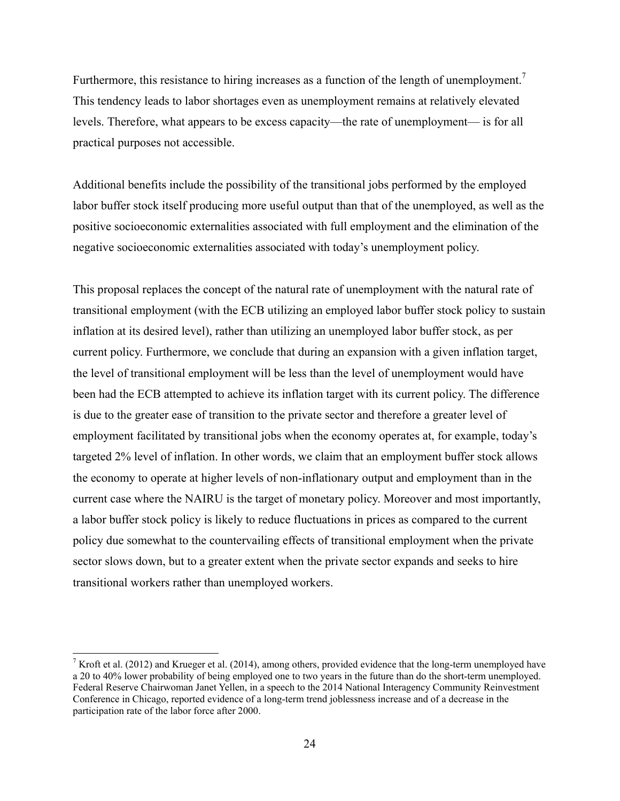Furthermore, this resistance to hiring increases as a function of the length of unemployment.<sup>7</sup> This tendency leads to labor shortages even as unemployment remains at relatively elevated levels. Therefore, what appears to be excess capacity—the rate of unemployment— is for all practical purposes not accessible.

Additional benefits include the possibility of the transitional jobs performed by the employed labor buffer stock itself producing more useful output than that of the unemployed, as well as the positive socioeconomic externalities associated with full employment and the elimination of the negative socioeconomic externalities associated with today's unemployment policy.

This proposal replaces the concept of the natural rate of unemployment with the natural rate of transitional employment (with the ECB utilizing an employed labor buffer stock policy to sustain inflation at its desired level), rather than utilizing an unemployed labor buffer stock, as per current policy. Furthermore, we conclude that during an expansion with a given inflation target, the level of transitional employment will be less than the level of unemployment would have been had the ECB attempted to achieve its inflation target with its current policy. The difference is due to the greater ease of transition to the private sector and therefore a greater level of employment facilitated by transitional jobs when the economy operates at, for example, today's targeted 2% level of inflation. In other words, we claim that an employment buffer stock allows the economy to operate at higher levels of non-inflationary output and employment than in the current case where the NAIRU is the target of monetary policy. Moreover and most importantly, a labor buffer stock policy is likely to reduce fluctuations in prices as compared to the current policy due somewhat to the countervailing effects of transitional employment when the private sector slows down, but to a greater extent when the private sector expands and seeks to hire transitional workers rather than unemployed workers.

<sup>&</sup>lt;sup>7</sup> Kroft et al. (2012) and Krueger et al. (2014), among others, provided evidence that the long-term unemployed have a 20 to 40% lower probability of being employed one to two years in the future than do the short-term unemployed. Federal Reserve Chairwoman Janet Yellen, in a speech to the 2014 National Interagency Community Reinvestment Conference in Chicago, reported evidence of a long-term trend joblessness increase and of a decrease in the participation rate of the labor force after 2000.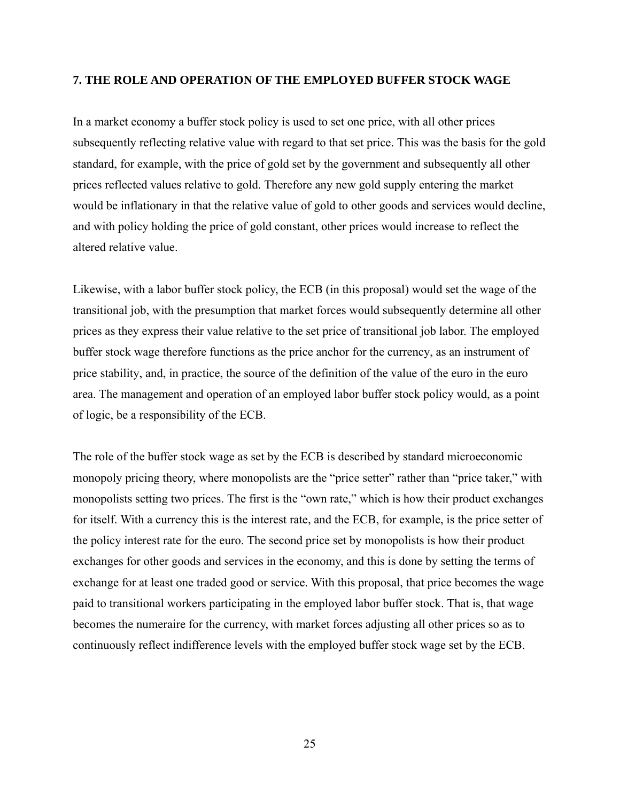### **7. THE ROLE AND OPERATION OF THE EMPLOYED BUFFER STOCK WAGE**

In a market economy a buffer stock policy is used to set one price, with all other prices subsequently reflecting relative value with regard to that set price. This was the basis for the gold standard, for example, with the price of gold set by the government and subsequently all other prices reflected values relative to gold. Therefore any new gold supply entering the market would be inflationary in that the relative value of gold to other goods and services would decline, and with policy holding the price of gold constant, other prices would increase to reflect the altered relative value.

Likewise, with a labor buffer stock policy, the ECB (in this proposal) would set the wage of the transitional job, with the presumption that market forces would subsequently determine all other prices as they express their value relative to the set price of transitional job labor. The employed buffer stock wage therefore functions as the price anchor for the currency, as an instrument of price stability, and, in practice, the source of the definition of the value of the euro in the euro area. The management and operation of an employed labor buffer stock policy would, as a point of logic, be a responsibility of the ECB.

The role of the buffer stock wage as set by the ECB is described by standard microeconomic monopoly pricing theory, where monopolists are the "price setter" rather than "price taker," with monopolists setting two prices. The first is the "own rate," which is how their product exchanges for itself. With a currency this is the interest rate, and the ECB, for example, is the price setter of the policy interest rate for the euro. The second price set by monopolists is how their product exchanges for other goods and services in the economy, and this is done by setting the terms of exchange for at least one traded good or service. With this proposal, that price becomes the wage paid to transitional workers participating in the employed labor buffer stock. That is, that wage becomes the numeraire for the currency, with market forces adjusting all other prices so as to continuously reflect indifference levels with the employed buffer stock wage set by the ECB.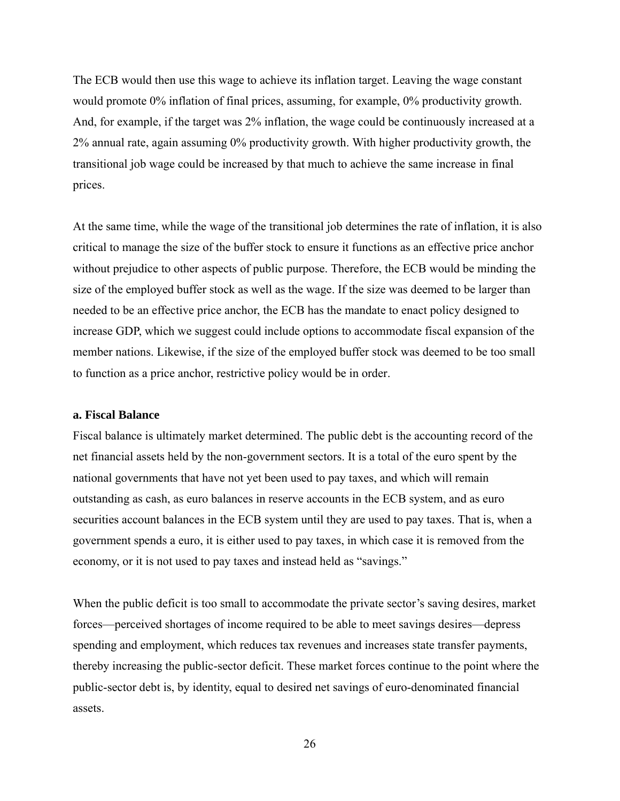The ECB would then use this wage to achieve its inflation target. Leaving the wage constant would promote 0% inflation of final prices, assuming, for example, 0% productivity growth. And, for example, if the target was 2% inflation, the wage could be continuously increased at a 2% annual rate, again assuming 0% productivity growth. With higher productivity growth, the transitional job wage could be increased by that much to achieve the same increase in final prices.

At the same time, while the wage of the transitional job determines the rate of inflation, it is also critical to manage the size of the buffer stock to ensure it functions as an effective price anchor without prejudice to other aspects of public purpose. Therefore, the ECB would be minding the size of the employed buffer stock as well as the wage. If the size was deemed to be larger than needed to be an effective price anchor, the ECB has the mandate to enact policy designed to increase GDP, which we suggest could include options to accommodate fiscal expansion of the member nations. Likewise, if the size of the employed buffer stock was deemed to be too small to function as a price anchor, restrictive policy would be in order.

#### **a. Fiscal Balance**

Fiscal balance is ultimately market determined. The public debt is the accounting record of the net financial assets held by the non-government sectors. It is a total of the euro spent by the national governments that have not yet been used to pay taxes, and which will remain outstanding as cash, as euro balances in reserve accounts in the ECB system, and as euro securities account balances in the ECB system until they are used to pay taxes. That is, when a government spends a euro, it is either used to pay taxes, in which case it is removed from the economy, or it is not used to pay taxes and instead held as "savings."

When the public deficit is too small to accommodate the private sector's saving desires, market forces—perceived shortages of income required to be able to meet savings desires—depress spending and employment, which reduces tax revenues and increases state transfer payments, thereby increasing the public-sector deficit. These market forces continue to the point where the public-sector debt is, by identity, equal to desired net savings of euro-denominated financial assets.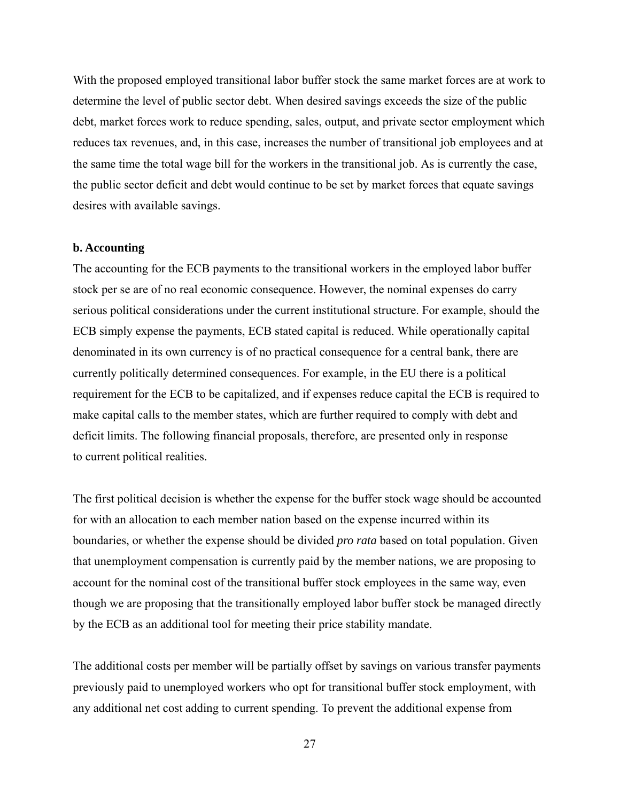With the proposed employed transitional labor buffer stock the same market forces are at work to determine the level of public sector debt. When desired savings exceeds the size of the public debt, market forces work to reduce spending, sales, output, and private sector employment which reduces tax revenues, and, in this case, increases the number of transitional job employees and at the same time the total wage bill for the workers in the transitional job. As is currently the case, the public sector deficit and debt would continue to be set by market forces that equate savings desires with available savings.

#### **b. Accounting**

The accounting for the ECB payments to the transitional workers in the employed labor buffer stock per se are of no real economic consequence. However, the nominal expenses do carry serious political considerations under the current institutional structure. For example, should the ECB simply expense the payments, ECB stated capital is reduced. While operationally capital denominated in its own currency is of no practical consequence for a central bank, there are currently politically determined consequences. For example, in the EU there is a political requirement for the ECB to be capitalized, and if expenses reduce capital the ECB is required to make capital calls to the member states, which are further required to comply with debt and deficit limits. The following financial proposals, therefore, are presented only in response to current political realities.

The first political decision is whether the expense for the buffer stock wage should be accounted for with an allocation to each member nation based on the expense incurred within its boundaries, or whether the expense should be divided *pro rata* based on total population. Given that unemployment compensation is currently paid by the member nations, we are proposing to account for the nominal cost of the transitional buffer stock employees in the same way, even though we are proposing that the transitionally employed labor buffer stock be managed directly by the ECB as an additional tool for meeting their price stability mandate.

The additional costs per member will be partially offset by savings on various transfer payments previously paid to unemployed workers who opt for transitional buffer stock employment, with any additional net cost adding to current spending. To prevent the additional expense from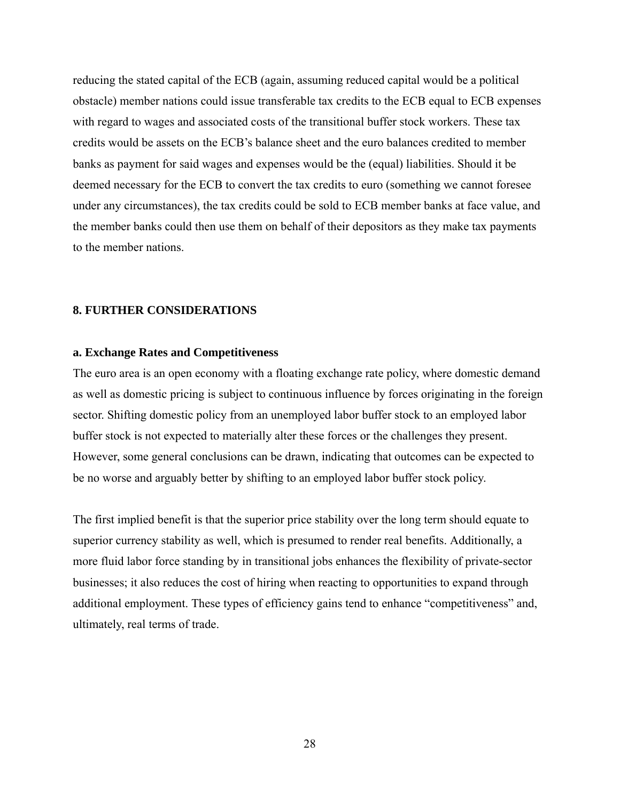reducing the stated capital of the ECB (again, assuming reduced capital would be a political obstacle) member nations could issue transferable tax credits to the ECB equal to ECB expenses with regard to wages and associated costs of the transitional buffer stock workers. These tax credits would be assets on the ECB's balance sheet and the euro balances credited to member banks as payment for said wages and expenses would be the (equal) liabilities. Should it be deemed necessary for the ECB to convert the tax credits to euro (something we cannot foresee under any circumstances), the tax credits could be sold to ECB member banks at face value, and the member banks could then use them on behalf of their depositors as they make tax payments to the member nations.

#### **8. FURTHER CONSIDERATIONS**

### **a. Exchange Rates and Competitiveness**

The euro area is an open economy with a floating exchange rate policy, where domestic demand as well as domestic pricing is subject to continuous influence by forces originating in the foreign sector. Shifting domestic policy from an unemployed labor buffer stock to an employed labor buffer stock is not expected to materially alter these forces or the challenges they present. However, some general conclusions can be drawn, indicating that outcomes can be expected to be no worse and arguably better by shifting to an employed labor buffer stock policy.

The first implied benefit is that the superior price stability over the long term should equate to superior currency stability as well, which is presumed to render real benefits. Additionally, a more fluid labor force standing by in transitional jobs enhances the flexibility of private-sector businesses; it also reduces the cost of hiring when reacting to opportunities to expand through additional employment. These types of efficiency gains tend to enhance "competitiveness" and, ultimately, real terms of trade.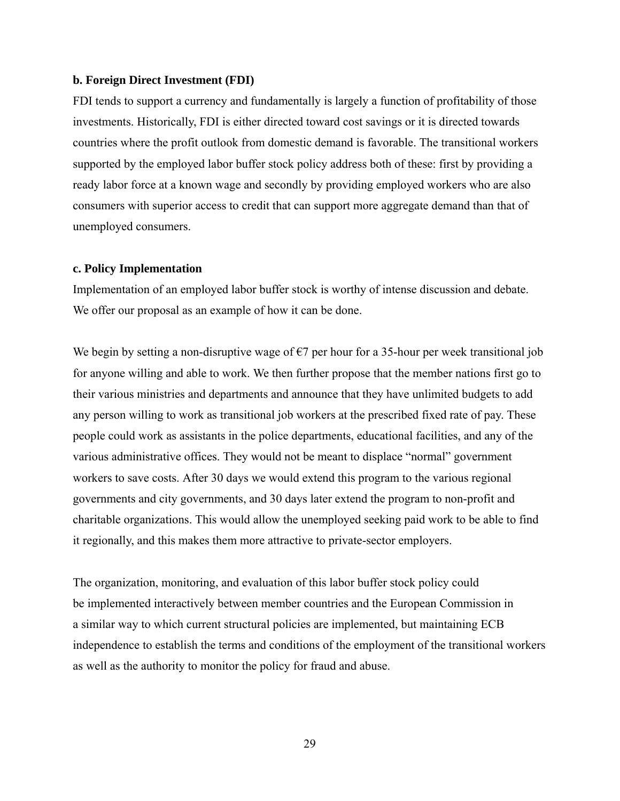#### **b. Foreign Direct Investment (FDI)**

FDI tends to support a currency and fundamentally is largely a function of profitability of those investments. Historically, FDI is either directed toward cost savings or it is directed towards countries where the profit outlook from domestic demand is favorable. The transitional workers supported by the employed labor buffer stock policy address both of these: first by providing a ready labor force at a known wage and secondly by providing employed workers who are also consumers with superior access to credit that can support more aggregate demand than that of unemployed consumers.

#### **c. Policy Implementation**

Implementation of an employed labor buffer stock is worthy of intense discussion and debate. We offer our proposal as an example of how it can be done.

We begin by setting a non-disruptive wage of  $\epsilon$ 7 per hour for a 35-hour per week transitional job for anyone willing and able to work. We then further propose that the member nations first go to their various ministries and departments and announce that they have unlimited budgets to add any person willing to work as transitional job workers at the prescribed fixed rate of pay. These people could work as assistants in the police departments, educational facilities, and any of the various administrative offices. They would not be meant to displace "normal" government workers to save costs. After 30 days we would extend this program to the various regional governments and city governments, and 30 days later extend the program to non-profit and charitable organizations. This would allow the unemployed seeking paid work to be able to find it regionally, and this makes them more attractive to private-sector employers.

The organization, monitoring, and evaluation of this labor buffer stock policy could be implemented interactively between member countries and the European Commission in a similar way to which current structural policies are implemented, but maintaining ECB independence to establish the terms and conditions of the employment of the transitional workers as well as the authority to monitor the policy for fraud and abuse.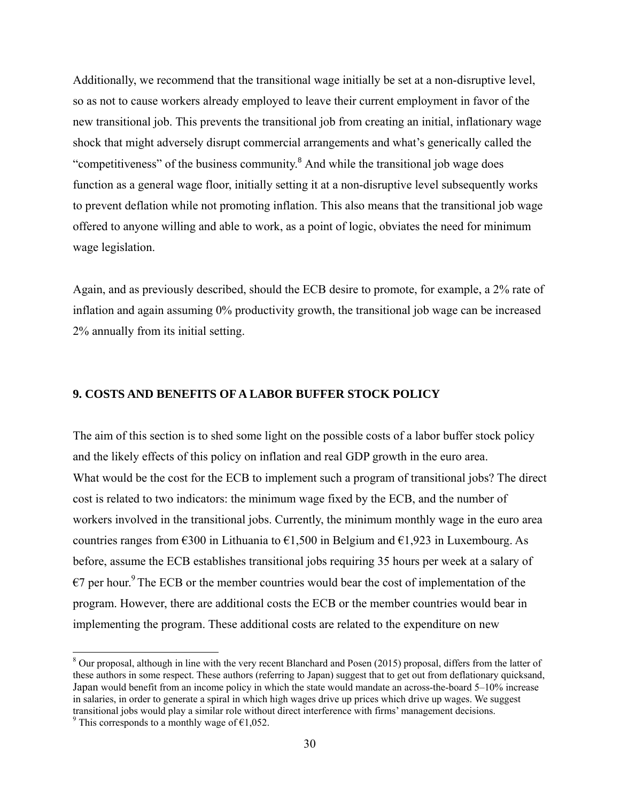Additionally, we recommend that the transitional wage initially be set at a non-disruptive level, so as not to cause workers already employed to leave their current employment in favor of the new transitional job. This prevents the transitional job from creating an initial, inflationary wage shock that might adversely disrupt commercial arrangements and what's generically called the "competitiveness" of the business community.<sup>8</sup> And while the transitional job wage does function as a general wage floor, initially setting it at a non-disruptive level subsequently works to prevent deflation while not promoting inflation. This also means that the transitional job wage offered to anyone willing and able to work, as a point of logic, obviates the need for minimum wage legislation.

Again, and as previously described, should the ECB desire to promote, for example, a 2% rate of inflation and again assuming 0% productivity growth, the transitional job wage can be increased 2% annually from its initial setting.

## **9. COSTS AND BENEFITS OF A LABOR BUFFER STOCK POLICY**

The aim of this section is to shed some light on the possible costs of a labor buffer stock policy and the likely effects of this policy on inflation and real GDP growth in the euro area. What would be the cost for the ECB to implement such a program of transitional jobs? The direct cost is related to two indicators: the minimum wage fixed by the ECB, and the number of workers involved in the transitional jobs. Currently, the minimum monthly wage in the euro area countries ranges from  $\epsilon$ 300 in Lithuania to  $\epsilon$ 1,500 in Belgium and  $\epsilon$ 1,923 in Luxembourg. As before, assume the ECB establishes transitional jobs requiring 35 hours per week at a salary of  $\epsilon$ 7 per hour.<sup>9</sup> The ECB or the member countries would bear the cost of implementation of the program. However, there are additional costs the ECB or the member countries would bear in implementing the program. These additional costs are related to the expenditure on new

 $8$  Our proposal, although in line with the very recent Blanchard and Posen (2015) proposal, differs from the latter of these authors in some respect. These authors (referring to Japan) suggest that to get out from deflationary quicksand, Japan would benefit from an income policy in which the state would mandate an across-the-board 5–10% increase in salaries, in order to generate a spiral in which high wages drive up prices which drive up wages. We suggest transitional jobs would play a similar role without direct interference with firms' management decisions. <sup>9</sup> This corresponds to a monthly wage of  $\epsilon$ 1,052.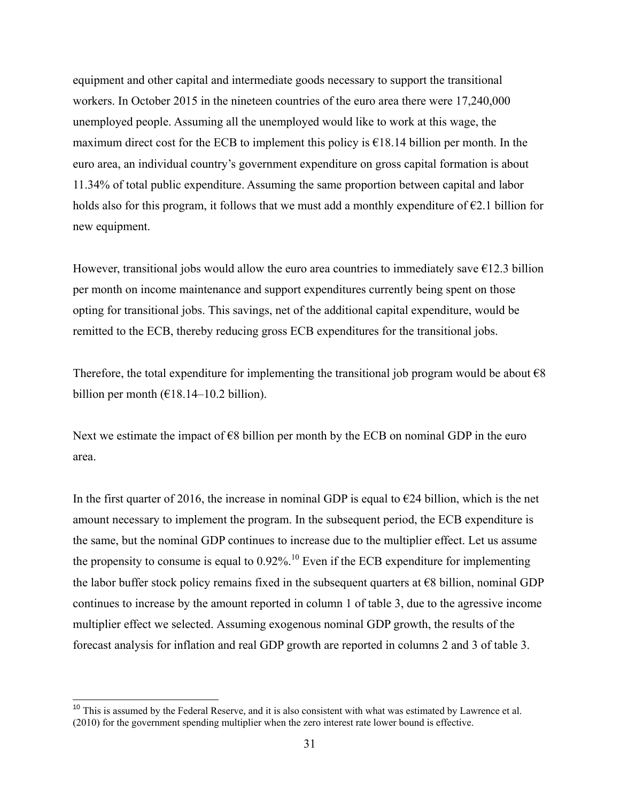equipment and other capital and intermediate goods necessary to support the transitional workers. In October 2015 in the nineteen countries of the euro area there were 17,240,000 unemployed people. Assuming all the unemployed would like to work at this wage, the maximum direct cost for the ECB to implement this policy is  $\epsilon$ 18.14 billion per month. In the euro area, an individual country's government expenditure on gross capital formation is about 11.34% of total public expenditure. Assuming the same proportion between capital and labor holds also for this program, it follows that we must add a monthly expenditure of  $\epsilon$ 2.1 billion for new equipment.

However, transitional jobs would allow the euro area countries to immediately save  $\epsilon$ 12.3 billion per month on income maintenance and support expenditures currently being spent on those opting for transitional jobs. This savings, net of the additional capital expenditure, would be remitted to the ECB, thereby reducing gross ECB expenditures for the transitional jobs.

Therefore, the total expenditure for implementing the transitional job program would be about  $\epsilon$ 8 billion per month  $(€18.14–10.2)$  billion).

Next we estimate the impact of  $\epsilon$ 8 billion per month by the ECB on nominal GDP in the euro area.

In the first quarter of 2016, the increase in nominal GDP is equal to  $\epsilon$ 24 billion, which is the net amount necessary to implement the program. In the subsequent period, the ECB expenditure is the same, but the nominal GDP continues to increase due to the multiplier effect. Let us assume the propensity to consume is equal to  $0.92\%$ .<sup>10</sup> Even if the ECB expenditure for implementing the labor buffer stock policy remains fixed in the subsequent quarters at  $\epsilon$ 8 billion, nominal GDP continues to increase by the amount reported in column 1 of table 3, due to the agressive income multiplier effect we selected. Assuming exogenous nominal GDP growth, the results of the forecast analysis for inflation and real GDP growth are reported in columns 2 and 3 of table 3.

 $10$  This is assumed by the Federal Reserve, and it is also consistent with what was estimated by Lawrence et al. (2010) for the government spending multiplier when the zero interest rate lower bound is effective.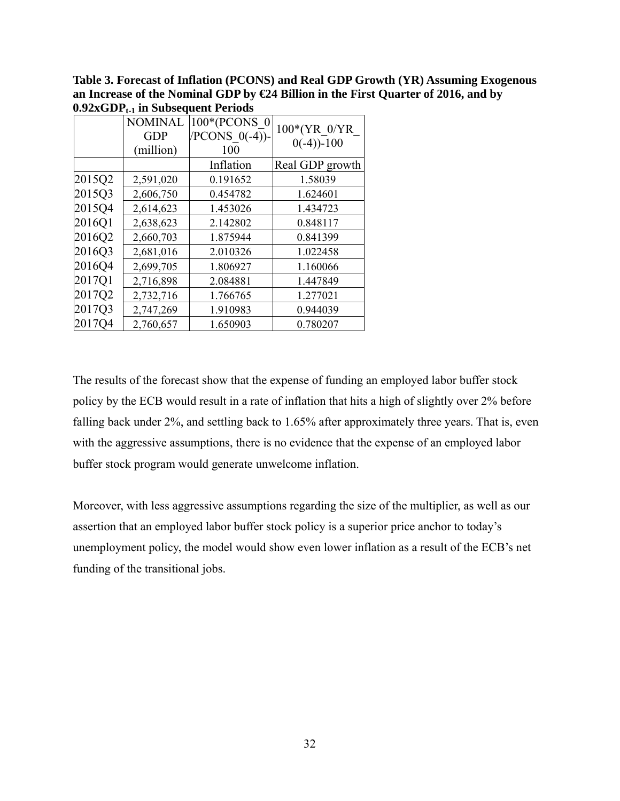**Table 3. Forecast of Inflation (PCONS) and Real GDP Growth (YR) Assuming Exogenous an Increase of the Nominal GDP by €24 Billion in the First Quarter of 2016, and by 0.92xGDPt-1 in Subsequent Periods** 

|        | <b>NOMINAL</b> | 100*(PCONS 0     |                              |
|--------|----------------|------------------|------------------------------|
|        | <b>GDP</b>     | $/PCONS$ 0(-4))- | 100*(YR 0/YR<br>$0(-4)$ -100 |
|        | (million)      | 100              |                              |
|        |                | Inflation        | Real GDP growth              |
| 2015Q2 | 2,591,020      | 0.191652         | 1.58039                      |
| 2015Q3 | 2,606,750      | 0.454782         | 1.624601                     |
| 2015Q4 | 2,614,623      | 1.453026         | 1.434723                     |
| 2016Q1 | 2,638,623      | 2.142802         | 0.848117                     |
| 2016Q2 | 2,660,703      | 1.875944         | 0.841399                     |
| 2016Q3 | 2,681,016      | 2.010326         | 1.022458                     |
| 2016Q4 | 2,699,705      | 1.806927         | 1.160066                     |
| 2017Q1 | 2,716,898      | 2.084881         | 1.447849                     |
| 2017Q2 | 2,732,716      | 1.766765         | 1.277021                     |
| 2017Q3 | 2,747,269      | 1.910983         | 0.944039                     |
| 2017Q4 | 2,760,657      | 1.650903         | 0.780207                     |

The results of the forecast show that the expense of funding an employed labor buffer stock policy by the ECB would result in a rate of inflation that hits a high of slightly over 2% before falling back under 2%, and settling back to 1.65% after approximately three years. That is, even with the aggressive assumptions, there is no evidence that the expense of an employed labor buffer stock program would generate unwelcome inflation.

Moreover, with less aggressive assumptions regarding the size of the multiplier, as well as our assertion that an employed labor buffer stock policy is a superior price anchor to today's unemployment policy, the model would show even lower inflation as a result of the ECB's net funding of the transitional jobs.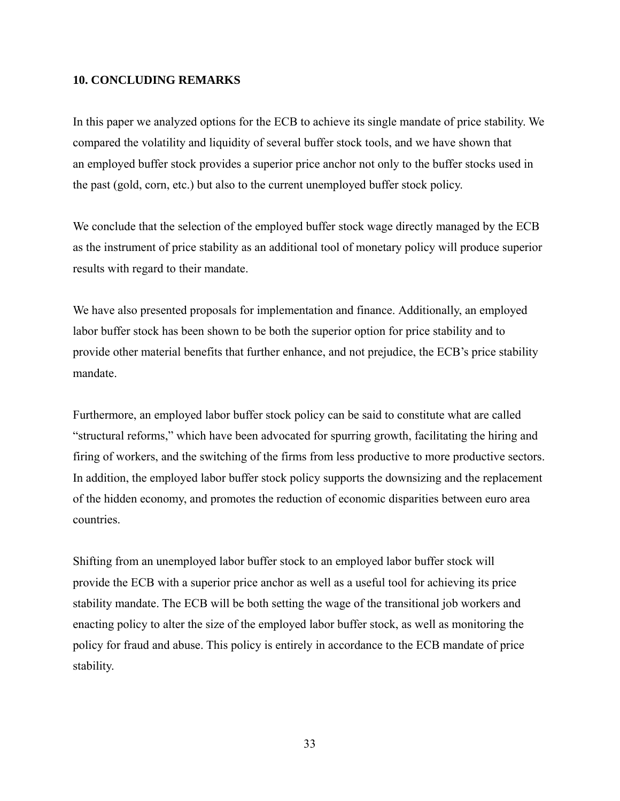# **10. CONCLUDING REMARKS**

In this paper we analyzed options for the ECB to achieve its single mandate of price stability. We compared the volatility and liquidity of several buffer stock tools, and we have shown that an employed buffer stock provides a superior price anchor not only to the buffer stocks used in the past (gold, corn, etc.) but also to the current unemployed buffer stock policy.

We conclude that the selection of the employed buffer stock wage directly managed by the ECB as the instrument of price stability as an additional tool of monetary policy will produce superior results with regard to their mandate.

We have also presented proposals for implementation and finance. Additionally, an employed labor buffer stock has been shown to be both the superior option for price stability and to provide other material benefits that further enhance, and not prejudice, the ECB's price stability mandate.

Furthermore, an employed labor buffer stock policy can be said to constitute what are called "structural reforms," which have been advocated for spurring growth, facilitating the hiring and firing of workers, and the switching of the firms from less productive to more productive sectors. In addition, the employed labor buffer stock policy supports the downsizing and the replacement of the hidden economy, and promotes the reduction of economic disparities between euro area countries.

Shifting from an unemployed labor buffer stock to an employed labor buffer stock will provide the ECB with a superior price anchor as well as a useful tool for achieving its price stability mandate. The ECB will be both setting the wage of the transitional job workers and enacting policy to alter the size of the employed labor buffer stock, as well as monitoring the policy for fraud and abuse. This policy is entirely in accordance to the ECB mandate of price stability.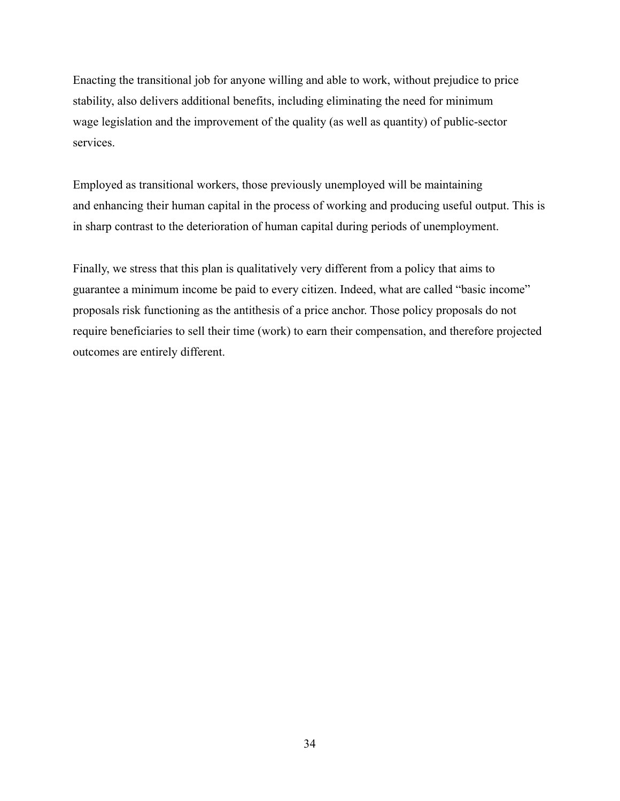Enacting the transitional job for anyone willing and able to work, without prejudice to price stability, also delivers additional benefits, including eliminating the need for minimum wage legislation and the improvement of the quality (as well as quantity) of public-sector services.

Employed as transitional workers, those previously unemployed will be maintaining and enhancing their human capital in the process of working and producing useful output. This is in sharp contrast to the deterioration of human capital during periods of unemployment.

Finally, we stress that this plan is qualitatively very different from a policy that aims to guarantee a minimum income be paid to every citizen. Indeed, what are called "basic income" proposals risk functioning as the antithesis of a price anchor. Those policy proposals do not require beneficiaries to sell their time (work) to earn their compensation, and therefore projected outcomes are entirely different.